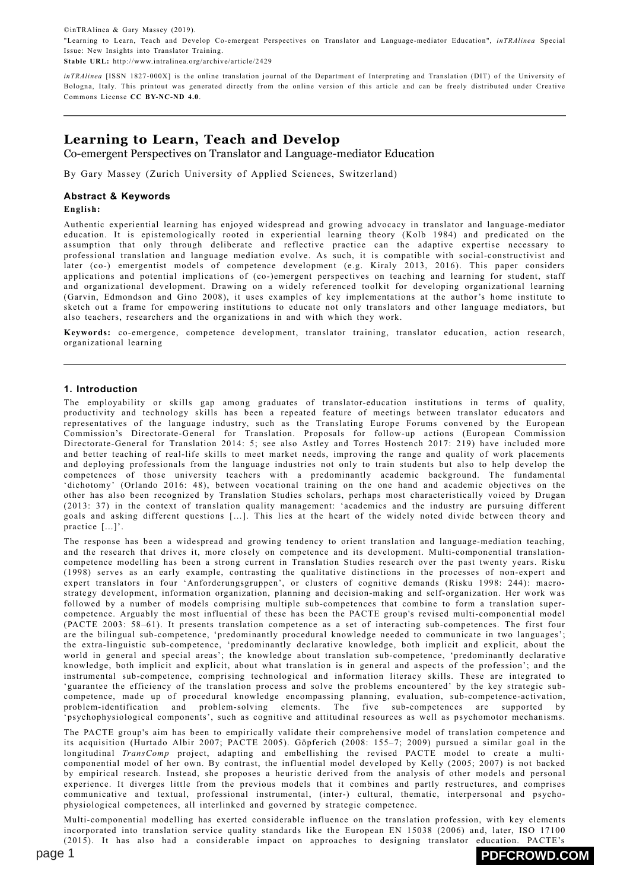©inTRAlinea & Gary Massey (2019). "Learning to Learn, Teach and Develop Co-emergent Perspectives on Translator and Language-mediator Education", *inTRAlinea* Special Issue: New Insights into Translator Training. **Stable URL:** http://www.intralinea.org/archive/article/2429

*inTRAlinea* [ISSN 1827-000X] is the online translation journal of the Department of Interpreting and Translation (DIT) of the University of Bologna, Italy. This printout was generated directly from the online version of this article and can be freely distributed under Creative Commons License **[CC BY-NC-ND 4.0](http://creativecommons.org/licenses/by-nc-nd/4.0/)**.

# **Learning to Learn, Teach and Develop**

Co-emergent Perspectives on Translator and Language-mediator Education

By Gary Massey (Zurich University of Applied Sciences, Switzerland)

### **Abstract & Keywords**

**English:**

Authentic experiential learning has enjoyed widespread and growing advocacy in translator and language-mediator education. It is epistemologically rooted in experiential learning theory (Kolb 1984) and predicated on the assumption that only through deliberate and reflective practice can the adaptive expertise necessary to professional translation and language mediation evolve. As such, it is compatible with social-constructivist and later (co-) emergentist models of competence development (e.g. Kiraly 2013, 2016). This paper considers applications and potential implications of (co-)emergent perspectives on teaching and learning for student, staff and organizational development. Drawing on a widely referenced toolkit for developing organizational learning (Garvin, Edmondson and Gino 2008), it uses examples of key implementations at the author's home institute to sketch out a frame for empowering institutions to educate not only translators and other language mediators, but also teachers, researchers and the organizations in and with which they work.

**Keywords:** co-emergence, competence development, translator training, translator education, action research, organizational learning

### **1. Introduction**

The employability or skills gap among graduates of translator-education institutions in terms of quality, productivity and technology skills has been a repeated feature of meetings between translator educators and representatives of the language industry, such as the Translating Europe Forums convened by the European Commission's Directorate-General for Translation. Proposals for follow-up actions (European Commission Directorate-General for Translation 2014: 5; see also Astley and Torres Hostench 2017: 219) have included more and better teaching of real-life skills to meet market needs, improving the range and quality of work placements and deploying professionals from the language industries not only to train students but also to help develop the competences of those university teachers with a predominantly academic background. The fundamental 'dichotomy' (Orlando 2016: 48), between vocational training on the one hand and academic objectives on the other has also been recognized by Translation Studies scholars, perhaps most characteristically voiced by Drugan (2013: 37) in the context of translation quality management: 'academics and the industry are pursuing different goals and asking different questions […]. This lies at the heart of the widely noted divide between theory and practice [...]'.

The response has been a widespread and growing tendency to orient translation and language-mediation teaching, and the research that drives it, more closely on competence and its development. Multi-componential translationcompetence modelling has been a strong current in Translation Studies research over the past twenty years. Risku (1998) serves as an early example, contrasting the qualitative distinctions in the processes of non-expert and expert translators in four 'Anforderungsgruppen', or clusters of cognitive demands (Risku 1998: 244): macrostrategy development, information organization, planning and decision-making and self-organization. Her work was followed by a number of models comprising multiple sub-competences that combine to form a translation supercompetence. Arguably the most influential of these has been the PACTE group's revised multi-componential model (PACTE 2003: 58–61). It presents translation competence as a set of interacting sub-competences. The first four are the bilingual sub-competence, 'predominantly procedural knowledge needed to communicate in two languages'; the extra-linguistic sub-competence, 'predominantly declarative knowledge, both implicit and explicit, about the world in general and special areas'; the knowledge about translation sub-competence, 'predominantly declarative knowledge, both implicit and explicit, about what translation is in general and aspects of the profession'; and the instrumental sub-competence, comprising technological and information literacy skills. These are integrated to 'guarantee the efficiency of the translation process and solve the problems encountered' by the key strategic subcompetence, made up of procedural knowledge encompassing planning, evaluation, sub-competence-activation, problem-identification and problem-solving elements. The five sub-competences are supported by 'psychophysiological components', such as cognitive and attitudinal resources as well as psychomotor mechanisms.

The PACTE group's aim has been to empirically validate their comprehensive model of translation competence and its acquisition (Hurtado Albir 2007; PACTE 2005). Göpferich (2008: 155–7; 2009) pursued a similar goal in the longitudinal *TransComp* project, adapting and embellishing the revised PACTE model to create a multicomponential model of her own. By contrast, the influential model developed by Kelly (2005; 2007) is not backed by empirical research. Instead, she proposes a heuristic derived from the analysis of other models and personal experience. It diverges little from the previous models that it combines and partly restructures, and comprises communicative and textual, professional instrumental, (inter-) cultural, thematic, interpersonal and psychophysiological competences, all interlinked and governed by strategic competence.

Multi-componential modelling has exerted considerable influence on the translation profession, with key elements incorporated into translation service quality standards like the European EN 15038 (2006) and, later, ISO 17100 (2015). It has also had a considerable impact on approaches to designing translator education. PACTE's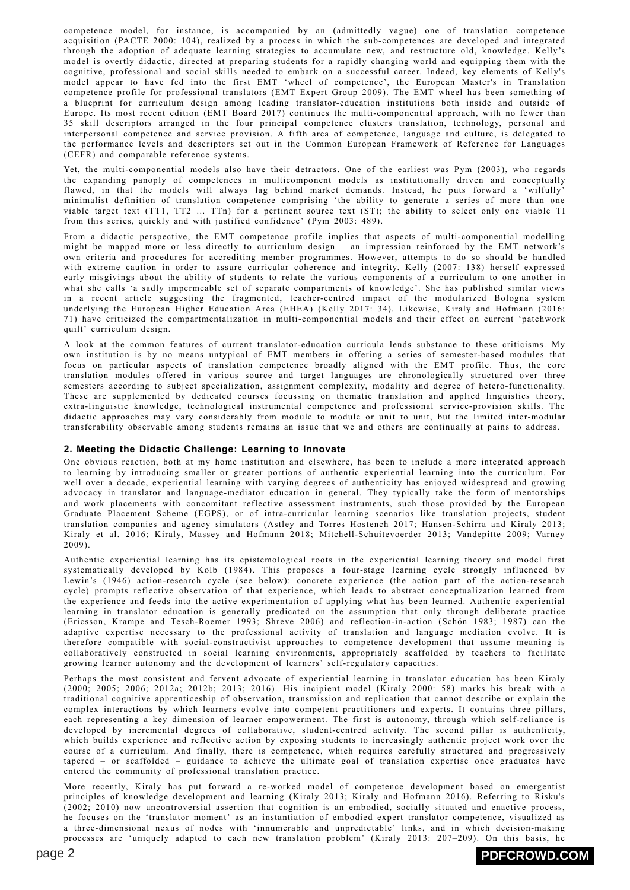competence model, for instance, is accompanied by an (admittedly vague) one of translation competence acquisition (PACTE 2000: 104), realized by a process in which the sub-competences are developed and integrated through the adoption of adequate learning strategies to accumulate new, and restructure old, knowledge. Kelly's model is overtly didactic, directed at preparing students for a rapidly changing world and equipping them with the cognitive, professional and social skills needed to embark on a successful career. Indeed, key elements of Kelly's model appear to have fed into the first EMT 'wheel of competence', the European Master's in Translation competence profile for professional translators (EMT Expert Group 2009). The EMT wheel has been something of a blueprint for curriculum design among leading translator-education institutions both inside and outside of Europe. Its most recent edition (EMT Board 2017) continues the multi-componential approach, with no fewer than 35 skill descriptors arranged in the four principal competence clusters translation, technology, personal and interpersonal competence and service provision. A fifth area of competence, language and culture, is delegated to the performance levels and descriptors set out in the Common European Framework of Reference for Languages (CEFR) and comparable reference systems.

Yet, the multi-componential models also have their detractors. One of the earliest was Pym (2003), who regards the expanding panoply of competences in multicomponent models as institutionally driven and conceptually flawed, in that the models will always lag behind market demands. Instead, he puts forward a 'wilfully' minimalist definition of translation competence comprising 'the ability to generate a series of more than one viable target text (TT1, TT2 ... TTn) for a pertinent source text (ST); the ability to select only one viable TI from this series, quickly and with justified confidence' (Pym 2003: 489).

From a didactic perspective, the EMT competence profile implies that aspects of multi-componential modelling might be mapped more or less directly to curriculum design – an impression reinforced by the EMT network's own criteria and procedures for accrediting member programmes. However, attempts to do so should be handled with extreme caution in order to assure curricular coherence and integrity. Kelly (2007: 138) herself expressed early misgivings about the ability of students to relate the various components of a curriculum to one another in what she calls 'a sadly impermeable set of separate compartments of knowledge'. She has published similar views in a recent article suggesting the fragmented, teacher-centred impact of the modularized Bologna system underlying the European Higher Education Area (EHEA) (Kelly 2017: 34). Likewise, Kiraly and Hofmann (2016: 71) have criticized the compartmentalization in multi-componential models and their effect on current 'patchwork quilt' curriculum design.

A look at the common features of current translator-education curricula lends substance to these criticisms. My own institution is by no means untypical of EMT members in offering a series of semester-based modules that focus on particular aspects of translation competence broadly aligned with the EMT profile. Thus, the core translation modules offered in various source and target languages are chronologically structured over three semesters according to subject specialization, assignment complexity, modality and degree of hetero-functionality. These are supplemented by dedicated courses focussing on thematic translation and applied linguistics theory, extra-linguistic knowledge, technological instrumental competence and professional service-provision skills. The didactic approaches may vary considerably from module to module or unit to unit, but the limited inter-modular transferability observable among students remains an issue that we and others are continually at pains to address.

### **2. Meeting the Didactic Challenge: Learning to Innovate**

One obvious reaction, both at my home institution and elsewhere, has been to include a more integrated approach to learning by introducing smaller or greater portions of authentic experiential learning into the curriculum. For well over a decade, experiential learning with varying degrees of authenticity has enjoyed widespread and growing advocacy in translator and language-mediator education in general. They typically take the form of mentorships and work placements with concomitant reflective assessment instruments, such those provided by the European Graduate Placement Scheme (EGPS), or of intra-curricular learning scenarios like translation projects, student translation companies and agency simulators (Astley and Torres Hostench 2017; Hansen-Schirra and Kiraly 2013; Kiraly et al. 2016; Kiraly, Massey and Hofmann 2018; Mitchell-Schuitevoerder 2013; Vandepitte 2009; Varney 2009).

Authentic experiential learning has its epistemological roots in the experiential learning theory and model first systematically developed by Kolb (1984). This proposes a four-stage learning cycle strongly influenced by Lewin's (1946) action-research cycle (see below): concrete experience (the action part of the action-research cycle) prompts reflective observation of that experience, which leads to abstract conceptualization learned from the experience and feeds into the active experimentation of applying what has been learned. Authentic experiential learning in translator education is generally predicated on the assumption that only through deliberate practice (Ericsson, Krampe and Tesch-Roemer 1993; Shreve 2006) and reflection-in-action (Schön 1983; 1987) can the adaptive expertise necessary to the professional activity of translation and language mediation evolve. It is therefore compatible with social-constructivist approaches to competence development that assume meaning is collaboratively constructed in social learning environments, appropriately scaffolded by teachers to facilitate growing learner autonomy and the development of learners' self-regulatory capacities.

Perhaps the most consistent and fervent advocate of experiential learning in translator education has been Kiraly (2000; 2005; 2006; 2012a; 2012b; 2013; 2016). His incipient model (Kiraly 2000: 58) marks his break with a traditional cognitive apprenticeship of observation, transmission and replication that cannot describe or explain the complex interactions by which learners evolve into competent practitioners and experts. It contains three pillars, each representing a key dimension of learner empowerment. The first is autonomy, through which self-reliance is developed by incremental degrees of collaborative, student-centred activity. The second pillar is authenticity, which builds experience and reflective action by exposing students to increasingly authentic project work over the course of a curriculum. And finally, there is competence, which requires carefully structured and progressively tapered – or scaffolded – guidance to achieve the ultimate goal of translation expertise once graduates have entered the community of professional translation practice.

More recently, Kiraly has put forward a re-worked model of competence development based on emergentist principles of knowledge development and learning (Kiraly 2013; Kiraly and Hofmann 2016). Referring to Risku's (2002; 2010) now uncontroversial assertion that cognition is an embodied, socially situated and enactive process, he focuses on the 'translator moment' as an instantiation of embodied expert translator competence, visualized as a three-dimensional nexus of nodes with 'innumerable and unpredictable' links, and in which decision-making processes are 'uniquely adapted to each new translation problem' (Kiraly 2013: 207–209). On this basis, he

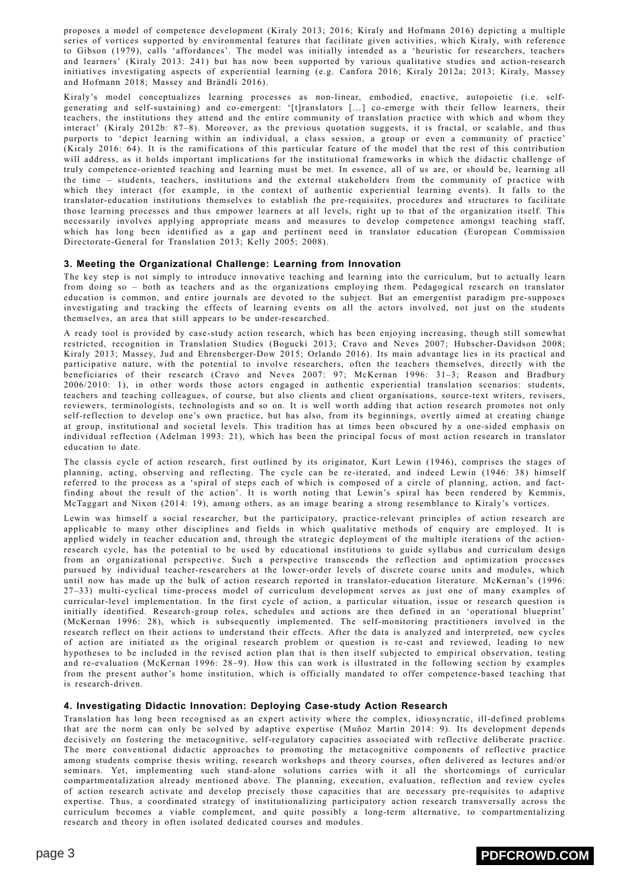proposes a model of competence development (Kiraly 2013; 2016; Kiraly and Hofmann 2016) depicting a multiple series of vortices supported by environmental features that facilitate given activities, which Kiraly, with reference to Gibson (1979), calls 'affordances'. The model was initially intended as a 'heuristic for researchers, teachers and learners' (Kiraly 2013: 241) but has now been supported by various qualitative studies and action-research initiatives investigating aspects of experiential learning (e.g. Canfora 2016; Kiraly 2012a; 2013; Kiraly, Massey and Hofmann 2018; Massey and Brändli 2016).

Kiraly's model conceptualizes learning processes as non-linear, embodied, enactive, autopoietic (i.e. selfgenerating and self-sustaining) and co-emergent: '[t]ranslators […] co-emerge with their fellow learners, their teachers, the institutions they attend and the entire community of translation practice with which and whom they interact' (Kiraly 2012b: 87–8). Moreover, as the previous quotation suggests, it is fractal, or scalable, and thus purports to 'depict learning within an individual, a class session, a group or even a community of practice' (Kiraly 2016: 64). It is the ramifications of this particular feature of the model that the rest of this contribution will address, as it holds important implications for the institutional frameworks in which the didactic challenge of truly competence-oriented teaching and learning must be met. In essence, all of us are, or should be, learning all the time – students, teachers, institutions and the external stakeholders from the community of practice with which they interact (for example, in the context of authentic experiential learning events). It falls to the translator-education institutions themselves to establish the pre-requisites, procedures and structures to facilitate those learning processes and thus empower learners at all levels, right up to that of the organization itself. This necessarily involves applying appropriate means and measures to develop competence amongst teaching staff, which has long been identified as a gap and pertinent need in translator education (European Commission Directorate-General for Translation 2013; Kelly 2005; 2008).

### **3. Meeting the Organizational Challenge: Learning from Innovation**

The key step is not simply to introduce innovative teaching and learning into the curriculum, but to actually learn from doing so – both as teachers and as the organizations employing them. Pedagogical research on translator education is common, and entire journals are devoted to the subject. But an emergentist paradigm pre-supposes investigating and tracking the effects of learning events on all the actors involved, not just on the students themselves, an area that still appears to be under-researched.

A ready tool is provided by case-study action research, which has been enjoying increasing, though still somewhat restricted, recognition in Translation Studies (Bogucki 2013; Cravo and Neves 2007; Hubscher-Davidson 2008; Kiraly 2013; Massey, Jud and Ehrensberger-Dow 2015; Orlando 2016). Its main advantage lies in its practical and participative nature, with the potential to involve researchers, often the teachers themselves, directly with the beneficiaries of their research (Cravo and Neves 2007: 97; McKernan 1996: 31–3; Reason and Bradbury 2006/2010: 1), in other words those actors engaged in authentic experiential translation scenarios: students, teachers and teaching colleagues, of course, but also clients and client organisations, source-text writers, revisers, reviewers, terminologists, technologists and so on. It is well worth adding that action research promotes not only self-reflection to develop one's own practice, but has also, from its beginnings, overtly aimed at creating change at group, institutional and societal levels. This tradition has at times been obscured by a one-sided emphasis on individual reflection (Adelman 1993: 21), which has been the principal focus of most action research in translator education to date.

The classis cycle of action research, first outlined by its originator, Kurt Lewin (1946), comprises the stages of planning, acting, observing and reflecting. The cycle can be re-iterated, and indeed Lewin (1946: 38) himself referred to the process as a 'spiral of steps each of which is composed of a circle of planning, action, and factfinding about the result of the action'. It is worth noting that Lewin's spiral has been rendered by Kemmis, McTaggart and Nixon (2014: 19), among others, as an image bearing a strong resemblance to Kiraly's vortices.

Lewin was himself a social researcher, but the participatory, practice-relevant principles of action research are applicable to many other disciplines and fields in which qualitative methods of enquiry are employed. It is applied widely in teacher education and, through the strategic deployment of the multiple iterations of the actionresearch cycle, has the potential to be used by educational institutions to guide syllabus and curriculum design from an organizational perspective. Such a perspective transcends the reflection and optimization processes pursued by individual teacher-researchers at the lower-order levels of discrete course units and modules, which until now has made up the bulk of action research reported in translator-education literature. McKernan's (1996: 27–33) multi-cyclical time-process model of curriculum development serves as just one of many examples of curricular-level implementation. In the first cycle of action, a particular situation, issue or research question is initially identified. Research-group roles, schedules and actions are then defined in an 'operational blueprint' (McKernan 1996: 28), which is subsequently implemented. The self-monitoring practitioners involved in the research reflect on their actions to understand their effects. After the data is analyzed and interpreted, new cycles of action are initiated as the original research problem or question is re-cast and reviewed, leading to new hypotheses to be included in the revised action plan that is then itself subjected to empirical observation, testing and re-evaluation (McKernan 1996: 28–9). How this can work is illustrated in the following section by examples from the present author's home institution, which is officially mandated to offer competence-based teaching that is research-driven.

### **4. Investigating Didactic Innovation: Deploying Case-study Action Research**

Translation has long been recognised as an expert activity where the complex, idiosyncratic, ill-defined problems that are the norm can only be solved by adaptive expertise (Muñoz Martín 2014: 9). Its development depends decisively on fostering the metacognitive, self-regulatory capacities associated with reflective deliberate practice. The more conventional didactic approaches to promoting the metacognitive components of reflective practice among students comprise thesis writing, research workshops and theory courses, often delivered as lectures and/or seminars. Yet, implementing such stand-alone solutions carries with it all the shortcomings of curricular compartmentalization already mentioned above. The planning, execution, evaluation, reflection and review cycles of action research activate and develop precisely those capacities that are necessary pre-requisites to adaptive expertise. Thus, a coordinated strategy of institutionalizing participatory action research transversally across the curriculum becomes a viable complement, and quite possibly a long-term alternative, to compartmentalizing research and theory in often isolated dedicated courses and modules.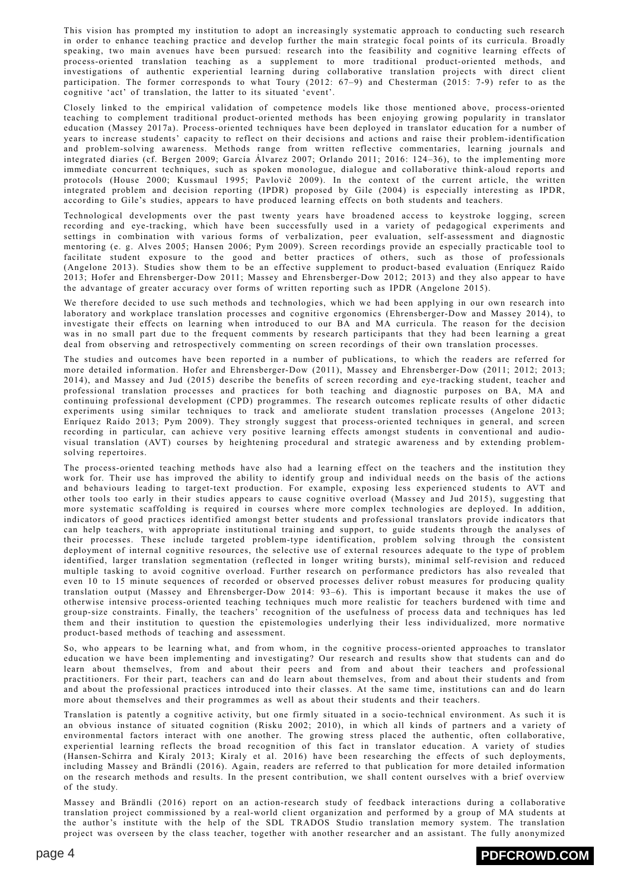This vision has prompted my institution to adopt an increasingly systematic approach to conducting such research in order to enhance teaching practice and develop further the main strategic focal points of its curricula. Broadly speaking, two main avenues have been pursued: research into the feasibility and cognitive learning effects of process-oriented translation teaching as a supplement to more traditional product-oriented methods, and investigations of authentic experiential learning during collaborative translation projects with direct client participation. The former corresponds to what Toury (2012: 67–9) and Chesterman (2015: 7-9) refer to as the cognitive 'act' of translation, the latter to its situated 'event'.

Closely linked to the empirical validation of competence models like those mentioned above, process-oriented teaching to complement traditional product-oriented methods has been enjoying growing popularity in translator education (Massey 2017a). Process-oriented techniques have been deployed in translator education for a number of years to increase students' capacity to reflect on their decisions and actions and raise their problem-identification and problem-solving awareness. Methods range from written reflective commentaries, learning journals and integrated diaries (cf. Bergen 2009; García Álvarez 2007; Orlando 2011; 2016: 124–36), to the implementing more immediate concurrent techniques, such as spoken monologue, dialogue and collaborative think-aloud reports and protocols (House 2000; Kussmaul 1995; Pavlovič 2009). In the context of the current article, the written integrated problem and decision reporting (IPDR) proposed by Gile (2004) is especially interesting as IPDR, according to Gile's studies, appears to have produced learning effects on both students and teachers.

Technological developments over the past twenty years have broadened access to keystroke logging, screen recording and eye-tracking, which have been successfully used in a variety of pedagogical experiments and settings in combination with various forms of verbalization, peer evaluation, self-assessment and diagnostic mentoring (e. g. Alves 2005; Hansen 2006; Pym 2009). Screen recordings provide an especially practicable tool to facilitate student exposure to the good and better practices of others, such as those of professionals (Angelone 2013). Studies show them to be an effective supplement to product-based evaluation (Enríquez Raído 2013; Hofer and Ehrensberger-Dow 2011; Massey and Ehrensberger-Dow 2012; 2013) and they also appear to have the advantage of greater accuracy over forms of written reporting such as IPDR (Angelone 2015).

We therefore decided to use such methods and technologies, which we had been applying in our own research into laboratory and workplace translation processes and cognitive ergonomics (Ehrensberger-Dow and Massey 2014), to investigate their effects on learning when introduced to our BA and MA curricula. The reason for the decision was in no small part due to the frequent comments by research participants that they had been learning a great deal from observing and retrospectively commenting on screen recordings of their own translation processes.

The studies and outcomes have been reported in a number of publications, to which the readers are referred for more detailed information. Hofer and Ehrensberger-Dow (2011), Massey and Ehrensberger-Dow (2011; 2012; 2013; 2014), and Massey and Jud (2015) describe the benefits of screen recording and eye-tracking student, teacher and professional translation processes and practices for both teaching and diagnostic purposes on BA, MA and continuing professional development (CPD) programmes. The research outcomes replicate results of other didactic experiments using similar techniques to track and ameliorate student translation processes (Angelone 2013; Enríquez Raído 2013; Pym 2009). They strongly suggest that process-oriented techniques in general, and screen recording in particular, can achieve very positive learning effects amongst students in conventional and audiovisual translation (AVT) courses by heightening procedural and strategic awareness and by extending problemsolving repertoires.

The process-oriented teaching methods have also had a learning effect on the teachers and the institution they work for. Their use has improved the ability to identify group and individual needs on the basis of the actions and behaviours leading to target-text production. For example, exposing less experienced students to AVT and other tools too early in their studies appears to cause cognitive overload (Massey and Jud 2015), suggesting that more systematic scaffolding is required in courses where more complex technologies are deployed. In addition, indicators of good practices identified amongst better students and professional translators provide indicators that can help teachers, with appropriate institutional training and support, to guide students through the analyses of their processes. These include targeted problem-type identification, problem solving through the consistent deployment of internal cognitive resources, the selective use of external resources adequate to the type of problem identified, larger translation segmentation (reflected in longer writing bursts), minimal self-revision and reduced multiple tasking to avoid cognitive overload. Further research on performance predictors has also revealed that even 10 to 15 minute sequences of recorded or observed processes deliver robust measures for producing quality translation output (Massey and Ehrensberger-Dow 2014: 93–6). This is important because it makes the use of otherwise intensive process-oriented teaching techniques much more realistic for teachers burdened with time and group-size constraints. Finally, the teachers' recognition of the usefulness of process data and techniques has led them and their institution to question the epistemologies underlying their less individualized, more normative product-based methods of teaching and assessment.

So, who appears to be learning what, and from whom, in the cognitive process-oriented approaches to translator education we have been implementing and investigating? Our research and results show that students can and do learn about themselves, from and about their peers and from and about their teachers and professional practitioners. For their part, teachers can and do learn about themselves, from and about their students and from and about the professional practices introduced into their classes. At the same time, institutions can and do learn more about themselves and their programmes as well as about their students and their teachers.

Translation is patently a cognitive activity, but one firmly situated in a socio-technical environment. As such it is an obvious instance of situated cognition (Risku 2002; 2010), in which all kinds of partners and a variety of environmental factors interact with one another. The growing stress placed the authentic, often collaborative, experiential learning reflects the broad recognition of this fact in translator education. A variety of studies (Hansen-Schirra and Kiraly 2013; Kiraly et al. 2016) have been researching the effects of such deployments, including Massey and Brändli (2016). Again, readers are referred to that publication for more detailed information on the research methods and results. In the present contribution, we shall content ourselves with a brief overview of the study.

Massey and Brändli (2016) report on an action-research study of feedback interactions during a collaborative translation project commissioned by a real-world client organization and performed by a group of MA students at the author's institute with the help of the SDL TRADOS Studio translation memory system. The translation project was overseen by the class teacher, together with another researcher and an assistant. The fully anonymized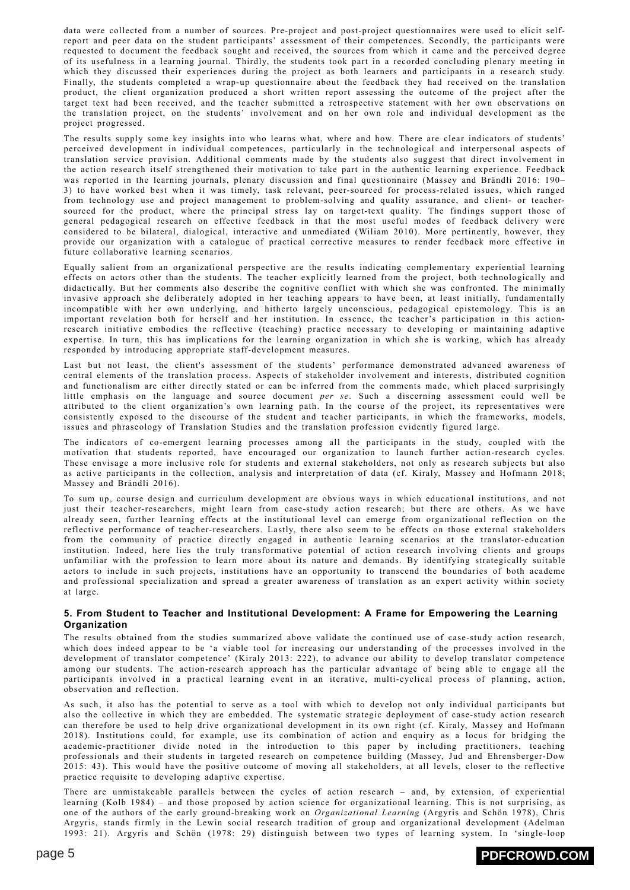data were collected from a number of sources. Pre-project and post-project questionnaires were used to elicit selfreport and peer data on the student participants' assessment of their competences. Secondly, the participants were requested to document the feedback sought and received, the sources from which it came and the perceived degree of its usefulness in a learning journal. Thirdly, the students took part in a recorded concluding plenary meeting in which they discussed their experiences during the project as both learners and participants in a research study. Finally, the students completed a wrap-up questionnaire about the feedback they had received on the translation product, the client organization produced a short written report assessing the outcome of the project after the target text had been received, and the teacher submitted a retrospective statement with her own observations on the translation project, on the students' involvement and on her own role and individual development as the project progressed.

The results supply some key insights into who learns what, where and how. There are clear indicators of students' perceived development in individual competences, particularly in the technological and interpersonal aspects of translation service provision. Additional comments made by the students also suggest that direct involvement in the action research itself strengthened their motivation to take part in the authentic learning experience. Feedback was reported in the learning journals, plenary discussion and final questionnaire (Massey and Brändli 2016: 190– 3) to have worked best when it was timely, task relevant, peer-sourced for process-related issues, which ranged from technology use and project management to problem-solving and quality assurance, and client- or teachersourced for the product, where the principal stress lay on target-text quality. The findings support those of general pedagogical research on effective feedback in that the most useful modes of feedback delivery were considered to be bilateral, dialogical, interactive and unmediated (Wiliam 2010). More pertinently, however, they provide our organization with a catalogue of practical corrective measures to render feedback more effective in future collaborative learning scenarios.

Equally salient from an organizational perspective are the results indicating complementary experiential learning effects on actors other than the students. The teacher explicitly learned from the project, both technologically and didactically. But her comments also describe the cognitive conflict with which she was confronted. The minimally invasive approach she deliberately adopted in her teaching appears to have been, at least initially, fundamentally incompatible with her own underlying, and hitherto largely unconscious, pedagogical epistemology. This is an important revelation both for herself and her institution. In essence, the teacher's participation in this actionresearch initiative embodies the reflective (teaching) practice necessary to developing or maintaining adaptive expertise. In turn, this has implications for the learning organization in which she is working, which has already responded by introducing appropriate staff-development measures.

Last but not least, the client's assessment of the students' performance demonstrated advanced awareness of central elements of the translation process. Aspects of stakeholder involvement and interests, distributed cognition and functionalism are either directly stated or can be inferred from the comments made, which placed surprisingly little emphasis on the language and source document *per se*. Such a discerning assessment could well be attributed to the client organization's own learning path. In the course of the project, its representatives were consistently exposed to the discourse of the student and teacher participants, in which the frameworks, models, issues and phraseology of Translation Studies and the translation profession evidently figured large.

The indicators of co-emergent learning processes among all the participants in the study, coupled with the motivation that students reported, have encouraged our organization to launch further action-research cycles. These envisage a more inclusive role for students and external stakeholders, not only as research subjects but also as active participants in the collection, analysis and interpretation of data (cf. Kiraly, Massey and Hofmann 2018; Massey and Brändli 2016).

To sum up, course design and curriculum development are obvious ways in which educational institutions, and not just their teacher-researchers, might learn from case-study action research; but there are others. As we have already seen, further learning effects at the institutional level can emerge from organizational reflection on the reflective performance of teacher-researchers. Lastly, there also seem to be effects on those external stakeholders from the community of practice directly engaged in authentic learning scenarios at the translator-education institution. Indeed, here lies the truly transformative potential of action research involving clients and groups unfamiliar with the profession to learn more about its nature and demands. By identifying strategically suitable actors to include in such projects, institutions have an opportunity to transcend the boundaries of both academe and professional specialization and spread a greater awareness of translation as an expert activity within society at large.

#### **5. From Student to Teacher and Institutional Development: A Frame for Empowering the Learning Organization**

The results obtained from the studies summarized above validate the continued use of case-study action research, which does indeed appear to be 'a viable tool for increasing our understanding of the processes involved in the development of translator competence' (Kiraly 2013: 222), to advance our ability to develop translator competence among our students. The action-research approach has the particular advantage of being able to engage all the participants involved in a practical learning event in an iterative, multi-cyclical process of planning, action, observation and reflection.

As such, it also has the potential to serve as a tool with which to develop not only individual participants but also the collective in which they are embedded. The systematic strategic deployment of case-study action research can therefore be used to help drive organizational development in its own right (cf. Kiraly, Massey and Hofmann 2018). Institutions could, for example, use its combination of action and enquiry as a locus for bridging the academic-practitioner divide noted in the introduction to this paper by including practitioners, teaching professionals and their students in targeted research on competence building (Massey, Jud and Ehrensberger-Dow 2015: 43). This would have the positive outcome of moving all stakeholders, at all levels, closer to the reflective practice requisite to developing adaptive expertise.

There are unmistakeable parallels between the cycles of action research – and, by extension, of experiential learning (Kolb 1984) – and those proposed by action science for organizational learning. This is not surprising, as one of the authors of the early ground-breaking work on *Organizational Learning* (Argyris and Schön 1978), Chris Argyris, stands firmly in the Lewin social research tradition of group and organizational development (Adelman 1993: 21). Argyris and Schön (1978: 29) distinguish between two types of learning system. In 'single-loop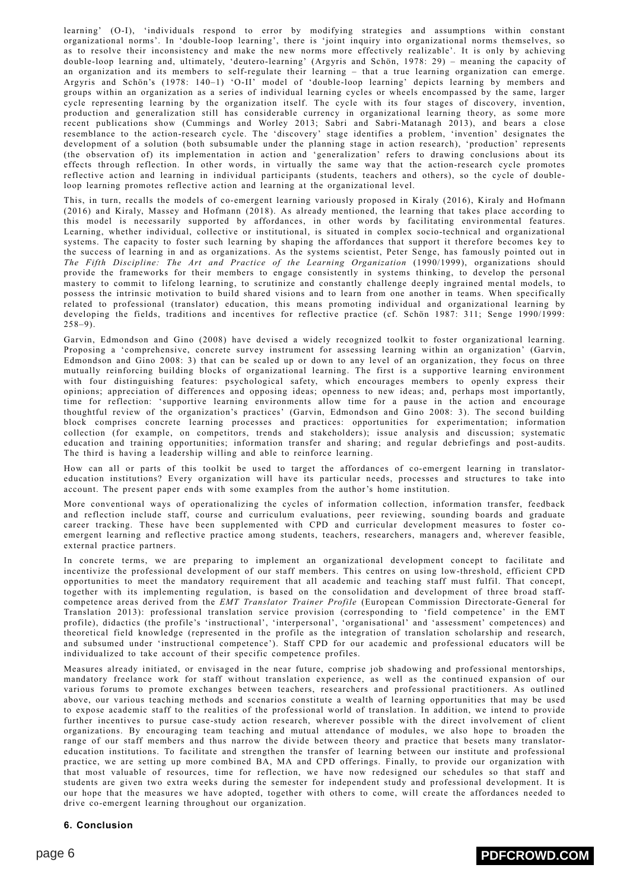learning' (O-I), 'individuals respond to error by modifying strategies and assumptions within constant organizational norms'. In 'double-loop learning', there is 'joint inquiry into organizational norms themselves, so as to resolve their inconsistency and make the new norms more effectively realizable'. It is only by achieving double-loop learning and, ultimately, 'deutero-learning' (Argyris and Schön, 1978: 29) – meaning the capacity of an organization and its members to self-regulate their learning – that a true learning organization can emerge. Argyris and Schön's (1978: 140–1) 'O-II' model of 'double-loop learning' depicts learning by members and groups within an organization as a series of individual learning cycles or wheels encompassed by the same, larger cycle representing learning by the organization itself. The cycle with its four stages of discovery, invention, production and generalization still has considerable currency in organizational learning theory, as some more recent publications show (Cummings and Worley 2013; Sabri and Sabri-Matanagh 2013), and bears a close resemblance to the action-research cycle. The 'discovery' stage identifies a problem, 'invention' designates the development of a solution (both subsumable under the planning stage in action research), 'production' represents (the observation of) its implementation in action and 'generalization' refers to drawing conclusions about its effects through reflection. In other words, in virtually the same way that the action-research cycle promotes reflective action and learning in individual participants (students, teachers and others), so the cycle of doubleloop learning promotes reflective action and learning at the organizational level.

This, in turn, recalls the models of co-emergent learning variously proposed in Kiraly (2016), Kiraly and Hofmann (2016) and Kiraly, Massey and Hofmann (2018). As already mentioned, the learning that takes place according to this model is necessarily supported by affordances, in other words by facilitating environmental features. Learning, whether individual, collective or institutional, is situated in complex socio-technical and organizational systems. The capacity to foster such learning by shaping the affordances that support it therefore becomes key to the success of learning in and as organizations. As the systems scientist, Peter Senge, has famously pointed out in *The Fifth Discipline: The Art and Practice of the Learning Organization* (1990/1999), organizations should provide the frameworks for their members to engage consistently in systems thinking, to develop the personal mastery to commit to lifelong learning, to scrutinize and constantly challenge deeply ingrained mental models, to possess the intrinsic motivation to build shared visions and to learn from one another in teams. When specifically related to professional (translator) education, this means promoting individual and organizational learning by developing the fields, traditions and incentives for reflective practice (cf. Schön 1987: 311; Senge 1990/1999:  $258-9$ ).

Garvin, Edmondson and Gino (2008) have devised a widely recognized toolkit to foster organizational learning. Proposing a 'comprehensive, concrete survey instrument for assessing learning within an organization' (Garvin, Edmondson and Gino 2008: 3) that can be scaled up or down to any level of an organization, they focus on three mutually reinforcing building blocks of organizational learning. The first is a supportive learning environment with four distinguishing features: psychological safety, which encourages members to openly express their opinions; appreciation of differences and opposing ideas; openness to new ideas; and, perhaps most importantly, time for reflection: 'supportive learning environments allow time for a pause in the action and encourage thoughtful review of the organization's practices' (Garvin, Edmondson and Gino 2008: 3). The second building block comprises concrete learning processes and practices: opportunities for experimentation; information collection (for example, on competitors, trends and stakeholders); issue analysis and discussion; systematic education and training opportunities; information transfer and sharing; and regular debriefings and post-audits. The third is having a leadership willing and able to reinforce learning.

How can all or parts of this toolkit be used to target the affordances of co-emergent learning in translatoreducation institutions? Every organization will have its particular needs, processes and structures to take into account. The present paper ends with some examples from the author's home institution.

More conventional ways of operationalizing the cycles of information collection, information transfer, feedback and reflection include staff, course and curriculum evaluations, peer reviewing, sounding boards and graduate career tracking. These have been supplemented with CPD and curricular development measures to foster coemergent learning and reflective practice among students, teachers, researchers, managers and, wherever feasible, external practice partners.

In concrete terms, we are preparing to implement an organizational development concept to facilitate and incentivize the professional development of our staff members. This centres on using low-threshold, efficient CPD opportunities to meet the mandatory requirement that all academic and teaching staff must fulfil. That concept, together with its implementing regulation, is based on the consolidation and development of three broad staffcompetence areas derived from the *EMT Translator Trainer Profile* (European Commission Directorate-General for Translation 2013): professional translation service provision (corresponding to 'field competence' in the EMT profile), didactics (the profile's 'instructional', 'interpersonal', 'organisational' and 'assessment' competences) and theoretical field knowledge (represented in the profile as the integration of translation scholarship and research, and subsumed under 'instructional competence'). Staff CPD for our academic and professional educators will be individualized to take account of their specific competence profiles.

Measures already initiated, or envisaged in the near future, comprise job shadowing and professional mentorships, mandatory freelance work for staff without translation experience, as well as the continued expansion of our various forums to promote exchanges between teachers, researchers and professional practitioners. As outlined above, our various teaching methods and scenarios constitute a wealth of learning opportunities that may be used to expose academic staff to the realities of the professional world of translation. In addition, we intend to provide further incentives to pursue case-study action research, wherever possible with the direct involvement of client organizations. By encouraging team teaching and mutual attendance of modules, we also hope to broaden the range of our staff members and thus narrow the divide between theory and practice that besets many translatoreducation institutions. To facilitate and strengthen the transfer of learning between our institute and professional practice, we are setting up more combined BA, MA and CPD offerings. Finally, to provide our organization with that most valuable of resources, time for reflection, we have now redesigned our schedules so that staff and students are given two extra weeks during the semester for independent study and professional development. It is our hope that the measures we have adopted, together with others to come, will create the affordances needed to drive co-emergent learning throughout our organization.

## **6. Conclusion**

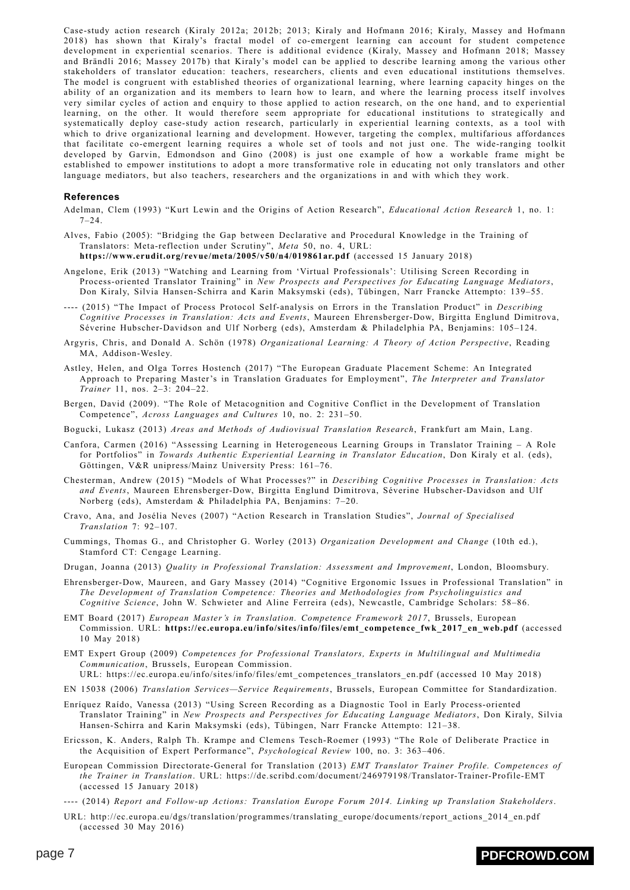Case-study action research (Kiraly 2012a; 2012b; 2013; Kiraly and Hofmann 2016; Kiraly, Massey and Hofmann 2018) has shown that Kiraly's fractal model of co-emergent learning can account for student competence development in experiential scenarios. There is additional evidence (Kiraly, Massey and Hofmann 2018; Massey and Brändli 2016; Massey 2017b) that Kiraly's model can be applied to describe learning among the various other stakeholders of translator education: teachers, researchers, clients and even educational institutions themselves. The model is congruent with established theories of organizational learning, where learning capacity hinges on the ability of an organization and its members to learn how to learn, and where the learning process itself involves very similar cycles of action and enquiry to those applied to action research, on the one hand, and to experiential learning, on the other. It would therefore seem appropriate for educational institutions to strategically and systematically deploy case-study action research, particularly in experiential learning contexts, as a tool with which to drive organizational learning and development. However, targeting the complex, multifarious affordances that facilitate co-emergent learning requires a whole set of tools and not just one. The wide-ranging toolkit developed by Garvin, Edmondson and Gino (2008) is just one example of how a workable frame might be established to empower institutions to adopt a more transformative role in educating not only translators and other language mediators, but also teachers, researchers and the organizations in and with which they work.

#### **References**

- Adelman, Clem (1993) "Kurt Lewin and the Origins of Action Research", *Educational Action Research* 1, no. 1:  $7 - 24$
- Alves, Fabio (2005): "Bridging the Gap between Declarative and Procedural Knowledge in the Training of Translators: Meta-reflection under Scrutiny", *Meta* 50, no. 4, URL:

**<https://www.erudit.org/revue/meta/2005/v50/n4/019861ar.pdf>** (accessed 15 January 2018)

- Angelone, Erik (2013) "Watching and Learning from 'Virtual Professionals': Utilising Screen Recording in Process-oriented Translator Training" in *New Prospects and Perspectives for Educating Language Mediators*, Don Kiraly, Silvia Hansen-Schirra and Karin Maksymski (eds), Tübingen, Narr Francke Attempto: 139–55.
- ---- (2015) "The Impact of Process Protocol Self-analysis on Errors in the Translation Product" in *Describing Cognitive Processes in Translation: Acts and Events*, Maureen Ehrensberger-Dow, Birgitta Englund Dimitrova, Séverine Hubscher-Davidson and Ulf Norberg (eds), Amsterdam & Philadelphia PA, Benjamins: 105–124.
- Argyris, Chris, and Donald A. Schön (1978) *Organizational Learning: A Theory of Action Perspective*, Reading MA, Addison-Wesley.
- Astley, Helen, and Olga Torres Hostench (2017) "The European Graduate Placement Scheme: An Integrated Approach to Preparing Master's in Translation Graduates for Employment", *The Interpreter and Translator Trainer* 11, nos. 2–3: 204–22.
- Bergen, David (2009). "The Role of Metacognition and Cognitive Conflict in the Development of Translation Competence", *Across Languages and Cultures* 10, no. 2: 231–50.
- Bogucki, Lukasz (2013) *Areas and Methods of Audiovisual Translation Research*, Frankfurt am Main, Lang.
- Canfora, Carmen (2016) "Assessing Learning in Heterogeneous Learning Groups in Translator Training A Role for Portfolios" in *Towards Authentic Experiential Learning in Translator Education*, Don Kiraly et al. (eds), Göttingen, V&R unipress/Mainz University Press: 161–76.
- Chesterman, Andrew (2015) "Models of What Processes?" in *Describing Cognitive Processes in Translation: Acts and Events*, Maureen Ehrensberger-Dow, Birgitta Englund Dimitrova, Séverine Hubscher-Davidson and Ulf Norberg (eds), Amsterdam & Philadelphia PA, Benjamins: 7–20.
- Cravo, Ana, and Josélia Neves (2007) "Action Research in Translation Studies", *Journal of Specialised Translation* 7: 92–107.
- Cummings, Thomas G., and Christopher G. Worley (2013) *Organization Development and Change* (10th ed.), Stamford CT: Cengage Learning.
- Drugan, Joanna (2013) *Quality in Professional Translation: Assessment and Improvement*, London, Bloomsbury.
- Ehrensberger-Dow, Maureen, and Gary Massey (2014) "Cognitive Ergonomic Issues in Professional Translation" in *The Development of Translation Competence: Theories and Methodologies from Psycholinguistics and Cognitive Science*, John W. Schwieter and Aline Ferreira (eds), Newcastle, Cambridge Scholars: 58–86.
- EMT Board (2017) *European Master's in Translation. Competence Framework 2017*, Brussels, European Commission. URL: **[https://ec.europa.eu/info/sites/info/files/emt\\_competence\\_fwk\\_2017\\_en\\_web.pdf](https://ec.europa.eu/info/sites/info/files/emt_competence_fwk_2017_en_web.pdf)** (accessed 10 May 2018)
- EMT Expert Group (2009) *Competences for Professional Translators, Experts in Multilingual and Multimedia Communication*, Brussels, European Commission.

URL: https://ec.europa.eu/info/sites/info/files/emt\_competences\_translators\_en.pdf (accessed 10 May 2018)

EN 15038 (2006) *Translation Services—Service Requirements*, Brussels, European Committee for Standardization.

- Enríquez Raído, Vanessa (2013) "Using Screen Recording as a Diagnostic Tool in Early Process-oriented Translator Training" in *New Prospects and Perspectives for Educating Language Mediators*, Don Kiraly, Silvia Hansen-Schirra and Karin Maksymski (eds), Tübingen, Narr Francke Attempto: 121–38.
- Ericsson, K. Anders, Ralph Th. Krampe and Clemens Tesch-Roemer (1993) "The Role of Deliberate Practice in the Acquisition of Expert Performance", *Psychological Review* 100, no. 3: 363–406.
- European Commission Directorate-General for Translation (2013) *EMT Translator Trainer Profile. Competences of the Trainer in Translation*. URL: https://de.scribd.com/document/246979198/Translator-Trainer-Profile-EMT (accessed 15 January 2018)
- ---- (2014) *Report and Follow-up Actions: Translation Europe Forum 2014. Linking up Translation Stakeholders*.
- URL: http://ec.europa.eu/dgs/translation/programmes/translating\_europe/documents/report\_actions\_2014\_en.pdf (accessed 30 May 2016)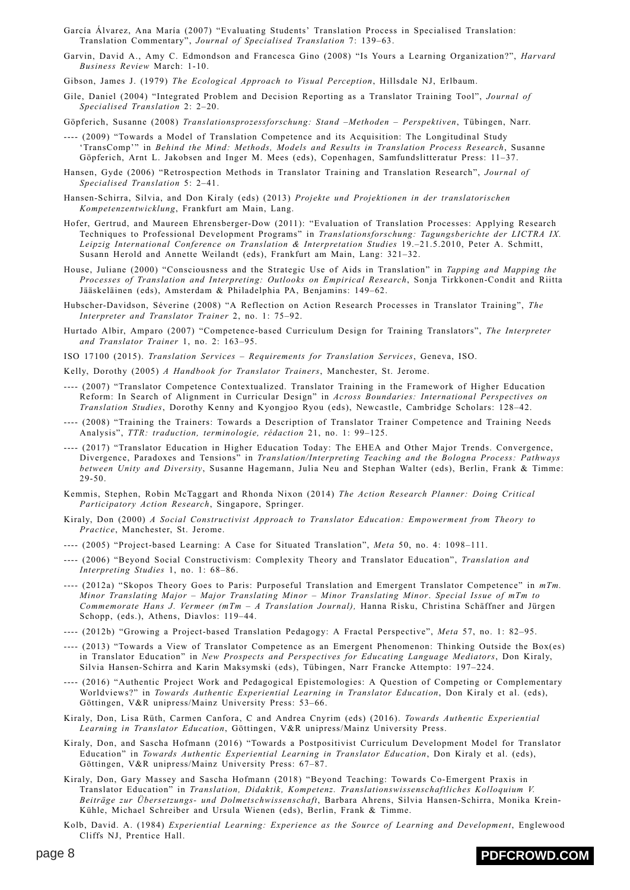- García Álvarez, Ana María (2007) "Evaluating Students' Translation Process in Specialised Translation: Translation Commentary", *Journal of Specialised Translation* 7: 139–63.
- Garvin, David A., Amy C. Edmondson and Francesca Gino (2008) "Is Yours a Learning Organization?", *Harvard Business Review* March: 1-10.
- Gibson, James J. (1979) *The Ecological Approach to Visual Perception*, Hillsdale NJ, Erlbaum.
- Gile, Daniel (2004) "Integrated Problem and Decision Reporting as a Translator Training Tool", *Journal of Specialised Translation* 2: 2–20.
- Göpferich, Susanne (2008) *Translationsprozessforschung: Stand –Methoden Perspektiven*, Tübingen, Narr.
- ---- (2009) "Towards a Model of Translation Competence and its Acquisition: The Longitudinal Study 'TransComp'" in *Behind the Mind: Methods, Models and Results in Translation Process Research*, Susanne Göpferich, Arnt L. Jakobsen and Inger M. Mees (eds), Copenhagen, Samfundslitteratur Press: 11–37.
- Hansen, Gyde (2006) "Retrospection Methods in Translator Training and Translation Research", *Journal of Specialised Translation* 5: 2–41.
- Hansen-Schirra, Silvia, and Don Kiraly (eds) (2013) *Projekte und Projektionen in der translatorischen Kompetenzentwicklung*, Frankfurt am Main, Lang.
- Hofer, Gertrud, and Maureen Ehrensberger-Dow (2011): "Evaluation of Translation Processes: Applying Research Techniques to Professional Development Programs" in *Translationsforschung: Tagungsberichte der LICTRA IX. Leipzig International Conference on Translation & Interpretation Studies* 19.–21.5.2010, Peter A. Schmitt, Susann Herold and Annette Weilandt (eds), Frankfurt am Main, Lang: 321–32.
- House, Juliane (2000) "Consciousness and the Strategic Use of Aids in Translation" in *Tapping and Mapping the Processes of Translation and Interpreting: Outlooks on Empirical Research*, Sonja Tirkkonen-Condit and Riitta Jääskeläinen (eds), Amsterdam & Philadelphia PA, Benjamins: 149–62.
- Hubscher-Davidson, Séverine (2008) "A Reflection on Action Research Processes in Translator Training", *The Interpreter and Translator Trainer* 2, no. 1: 75–92.
- Hurtado Albir, Amparo (2007) "Competence-based Curriculum Design for Training Translators", *The Interpreter and Translator Trainer* 1, no. 2: 163–95.
- ISO 17100 (2015). *Translation Services Requirements for Translation Services*, Geneva, ISO.

Kelly, Dorothy (2005) *A Handbook for Translator Trainers*, Manchester, St. Jerome.

- ---- (2007) "Translator Competence Contextualized. Translator Training in the Framework of Higher Education Reform: In Search of Alignment in Curricular Design" in *Across Boundaries: International Perspectives on Translation Studies*, Dorothy Kenny and Kyongjoo Ryou (eds), Newcastle, Cambridge Scholars: 128–42.
- ---- (2008) "Training the Trainers: Towards a Description of Translator Trainer Competence and Training Needs Analysis", *TTR: traduction, terminologie, rédaction* 21, no. 1: 99–125.
- ---- (2017) "Translator Education in Higher Education Today: The EHEA and Other Major Trends. Convergence, Divergence, Paradoxes and Tensions" in *Translation/Interpreting Teaching and the Bologna Process: Pathways between Unity and Diversity*, Susanne Hagemann, Julia Neu and Stephan Walter (eds), Berlin, Frank & Timme: 29-50.
- Kemmis, Stephen, Robin McTaggart and Rhonda Nixon (2014) *The Action Research Planner: Doing Critical Participatory Action Research*, Singapore, Springer.
- Kiraly, Don (2000) *A Social Constructivist Approach to Translator Education: Empowerment from Theory to Practice*, Manchester, St. Jerome.
- ---- (2005) "Project-based Learning: A Case for Situated Translation", *Meta* 50, no. 4: 1098–111.
- ---- (2006) "Beyond Social Constructivism: Complexity Theory and Translator Education", *Translation and Interpreting Studies* 1, no. 1: 68–86.
- ---- (2012a) "Skopos Theory Goes to Paris: Purposeful Translation and Emergent Translator Competence" in *mTm. Minor Translating Major – Major Translating Minor – Minor Translating Minor*. *Special Issue of mTm to Commemorate Hans J. Vermeer (mTm – A Translation Journal),* Hanna Risku, Christina Schäffner and Jürgen Schopp, (eds.), Athens, Diavlos: 119–44.
- ---- (2012b) "Growing a Project-based Translation Pedagogy: A Fractal Perspective", *Meta* 57, no. 1: 82–95.
- ---- (2013) "Towards a View of Translator Competence as an Emergent Phenomenon: Thinking Outside the Box(es) in Translator Education" in *New Prospects and Perspectives for Educating Language Mediators*, Don Kiraly, Silvia Hansen-Schirra and Karin Maksymski (eds), Tübingen, Narr Francke Attempto: 197–224.
- ---- (2016) "Authentic Project Work and Pedagogical Epistemologies: A Question of Competing or Complementary Worldviews?" in *Towards Authentic Experiential Learning in Translator Education*, Don Kiraly et al. (eds), Göttingen, V&R unipress/Mainz University Press: 53–66.
- Kiraly, Don, Lisa Rüth, Carmen Canfora, C and Andrea Cnyrim (eds) (2016). *Towards Authentic Experiential Learning in Translator Education*, Göttingen, V&R unipress/Mainz University Press.
- Kiraly, Don, and Sascha Hofmann (2016) "Towards a Postpositivist Curriculum Development Model for Translator Education" in *Towards Authentic Experiential Learning in Translator Education*, Don Kiraly et al. (eds), Göttingen, V&R unipress/Mainz University Press: 67–87.
- Kiraly, Don, Gary Massey and Sascha Hofmann (2018) "Beyond Teaching: Towards Co-Emergent Praxis in Translator Education" in *Translation, Didaktik, Kompetenz. Translationswissenschaftliches Kolloquium V. Beiträge zur Übersetzungs- und Dolmetschwissenschaft*, Barbara Ahrens, Silvia Hansen-Schirra, Monika Krein-Kühle, Michael Schreiber and Ursula Wienen (eds), Berlin, Frank & Timme.
- Kolb, David. A. (1984) *Experiential Learning: Experience as the Source of Learning and Development*, Englewood Cliffs NJ, Prentice Hall.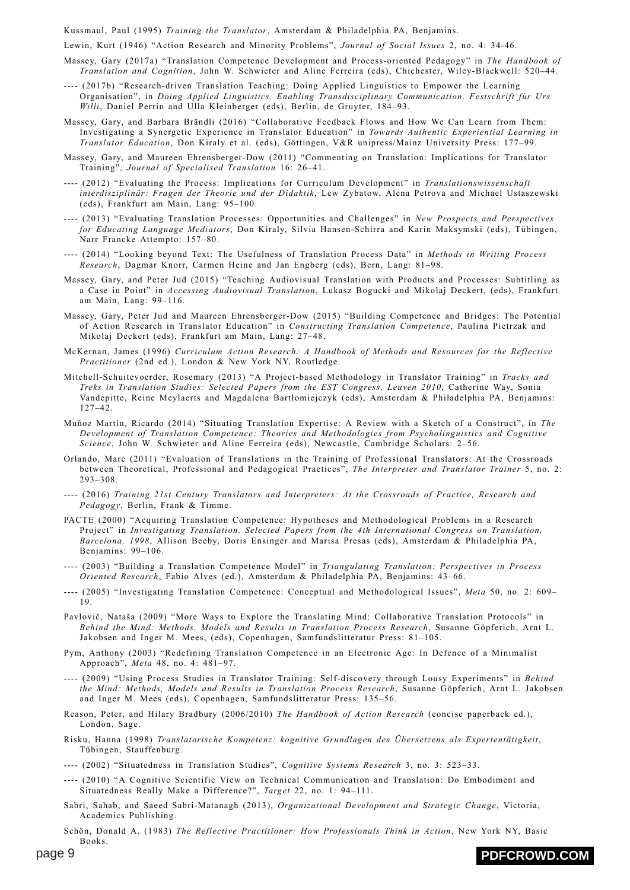Kussmaul, Paul (1995) *Training the Translator*, Amsterdam & Philadelphia PA, Benjamins.

Lewin, Kurt (1946) "Action Research and Minority Problems", *Journal of Social Issues* 2, no. 4: 34-46.

- Massey, Gary (2017a) "Translation Competence Development and Process-oriented Pedagogy" in *The Handbook of Translation and Cognition*, John W. Schwieter and Aline Ferreira (eds), Chichester, Wiley-Blackwell: 520–44.
- ---- (2017b) "Research-driven Translation Teaching: Doing Applied Linguistics to Empower the Learning Organisation", in *Doing Applied Linguistics. Enabling Transdisciplinary Communication. Festschrift für Urs Willi*, Daniel Perrin and Ulla Kleinberger (eds), Berlin, de Gruyter, 184–93.
- Massey, Gary, and Barbara Brändli (2016) "Collaborative Feedback Flows and How We Can Learn from Them: Investigating a Synergetic Experience in Translator Education" in *Towards Authentic Experiential Learning in Translator Education*, Don Kiraly et al. (eds), Göttingen, V&R unipress/Mainz University Press: 177–99.
- Massey, Gary, and Maureen Ehrensberger-Dow (2011) "Commenting on Translation: Implications for Translator Training", *Journal of Specialised Translation* 16: 26–41.
- ---- (2012) "Evaluating the Process: Implications for Curriculum Development" in *Translationswissenschaft interdisziplinär: Fragen der Theorie und der Didaktik*, Lew Zybatow, Alena Petrova and Michael Ustaszewski (eds), Frankfurt am Main, Lang: 95–100.
- ---- (2013) "Evaluating Translation Processes: Opportunities and Challenges" in *New Prospects and Perspectives for Educating Language Mediators*, Don Kiraly, Silvia Hansen-Schirra and Karin Maksymski (eds), Tübingen, Narr Francke Attempto: 157–80.
- ---- (2014) "Looking beyond Text: The Usefulness of Translation Process Data" in *Methods in Writing Process Research*, Dagmar Knorr, Carmen Heine and Jan Engberg (eds), Bern, Lang: 81–98.
- Massey, Gary, and Peter Jud (2015) "Teaching Audiovisual Translation with Products and Processes: Subtitling as a Case in Point" in *Accessing Audiovisual Translation*, Lukasz Bogucki and Mikolaj Deckert, (eds), Frankfurt am Main, Lang: 99–116.
- Massey, Gary, Peter Jud and Maureen Ehrensberger-Dow (2015) "Building Competence and Bridges: The Potential of Action Research in Translator Education" in *Constructing Translation Competence*, Paulina Pietrzak and Mikolaj Deckert (eds), Frankfurt am Main, Lang: 27–48.
- McKernan, James (1996) *Curriculum Action Research: A Handbook of Methods and Resources for the Reflective Practitioner* (2nd ed.), London & New York NY, Routledge.
- Mitchell-Schuitevoerder, Rosemary (2013) "A Project-based Methodology in Translator Training" in *Tracks and Treks in Translation Studies: Selected Papers from the EST Congress, Leuven 2010*, Catherine Way, Sonia Vandepitte, Reine Meylaerts and Magdalena Bartłomiejczyk (eds), Amsterdam & Philadelphia PA, Benjamins: 127–42.
- Muñoz Martín, Ricardo (2014) "Situating Translation Expertise: A Review with a Sketch of a Construct", in *The Development of Translation Competence: Theories and Methodologies from Psycholinguistics and Cognitive Science*, John W. Schwieter and Aline Ferreira (eds), Newcastle, Cambridge Scholars: 2–56.
- Orlando, Marc (2011) "Evaluation of Translations in the Training of Professional Translators: At the Crossroads between Theoretical, Professional and Pedagogical Practices", *The Interpreter and Translator Trainer* 5, no. 2: 293–308.
- ---- (2016) *Training 21st Century Translators and Interpreters: At the Crossroads of Practice, Research and Pedagogy*, Berlin, Frank & Timme.
- PACTE (2000) "Acquiring Translation Competence: Hypotheses and Methodological Problems in a Research Project" in *Investigating Translation. Selected Papers from the 4th International Congress on Translation, Barcelona, 1998*, Allison Beeby, Doris Ensinger and Marisa Presas (eds), Amsterdam & Philadelphia PA, Benjamins: 99–106.
- ---- (2003) "Building a Translation Competence Model" in *Triangulating Translation: Perspectives in Process Oriented Research*, Fabio Alves (ed.), Amsterdam & Philadelphia PA, Benjamins: 43–66.
- ---- (2005) "Investigating Translation Competence: Conceptual and Methodological Issues", *Meta* 50, no. 2: 609– 19.
- Pavlovič, Nataša (2009) "More Ways to Explore the Translating Mind: Collaborative Translation Protocols" in *Behind the Mind: Methods, Models and Results in Translation Process Research*, Susanne Göpferich, Arnt L. Jakobsen and Inger M. Mees, (eds), Copenhagen, Samfundslitteratur Press: 81–105.
- Pym, Anthony (2003) "Redefining Translation Competence in an Electronic Age: In Defence of a Minimalist Approach", *Meta* 48, no. 4: 481–97.
- ---- (2009) "Using Process Studies in Translator Training: Self-discovery through Lousy Experiments" in *Behind the Mind: Methods, Models and Results in Translation Process Research*, Susanne Göpferich, Arnt L. Jakobsen and Inger M. Mees (eds), Copenhagen, Samfundslitteratur Press: 135–56.
- Reason, Peter, and Hilary Bradbury (2006/2010) *The Handbook of Action Research* (concise paperback ed.), London, Sage.
- Risku, Hanna (1998) *Translatorische Kompetenz: kognitive Grundlagen des Übersetzens als Expertentätigkeit*, Tübingen, Stauffenburg.
- ---- (2002) "Situatedness in Translation Studies", *Cognitive Systems Research* 3, no. 3: 523–33.
- ---- (2010) "A Cognitive Scientific View on Technical Communication and Translation: Do Embodiment and Situatedness Really Make a Difference?", *Target* 22, no. 1: 94–111.
- Sabri, Sahab, and Saeed Sabri-Matanagh (2013), *Organizational Development and Strategic Change*, Victoria, Academics Publishing.
- Schön, Donald A. (1983) *The Reflective Practitioner: How Professionals Think in Action*, New York NY, Basic Books.